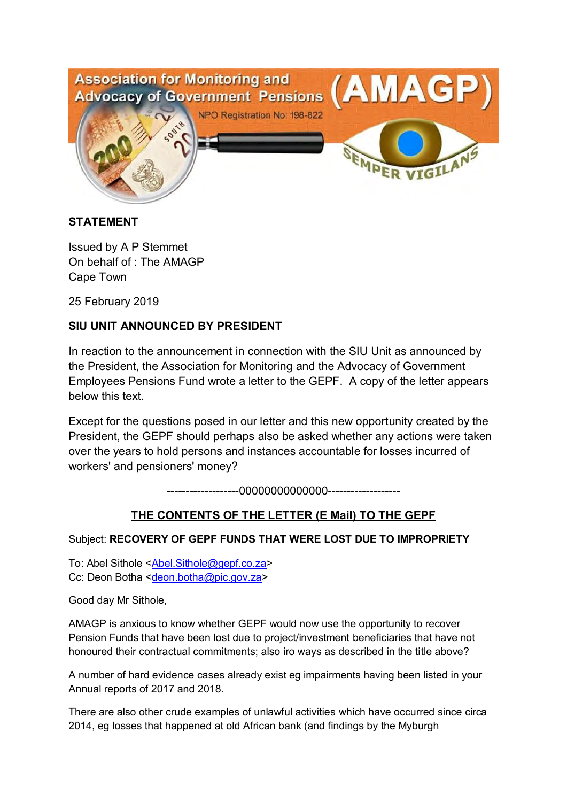

## **STATEMENT**

Issued by A P Stemmet On behalf of : The AMAGP Cape Town

25 February 2019

## **SIU UNIT ANNOUNCED BY PRESIDENT**

In reaction to the announcement in connection with the SIU Unit as announced by the President, the Association for Monitoring and the Advocacy of Government Employees Pensions Fund wrote a letter to the GEPF. A copy of the letter appears below this text.

Except for the questions posed in our letter and this new opportunity created by the President, the GEPF should perhaps also be asked whether any actions were taken over the years to hold persons and instances accountable for losses incurred of workers' and pensioners' money?

-------------------00000000000000-------------------

## **THE CONTENTS OF THE LETTER (E Mail) TO THE GEPF**

## Subject: **RECOVERY OF GEPF FUNDS THAT WERE LOST DUE TO IMPROPRIETY**

To: Abel Sithole <Abel.Sithole@gepf.co.za> Cc: Deon Botha <deon.botha@pic.gov.za>

Good day Mr Sithole,

AMAGP is anxious to know whether GEPF would now use the opportunity to recover Pension Funds that have been lost due to project/investment beneficiaries that have not honoured their contractual commitments; also iro ways as described in the title above?

A number of hard evidence cases already exist eg impairments having been listed in your Annual reports of 2017 and 2018.

There are also other crude examples of unlawful activities which have occurred since circa 2014, eg losses that happened at old African bank (and findings by the Myburgh